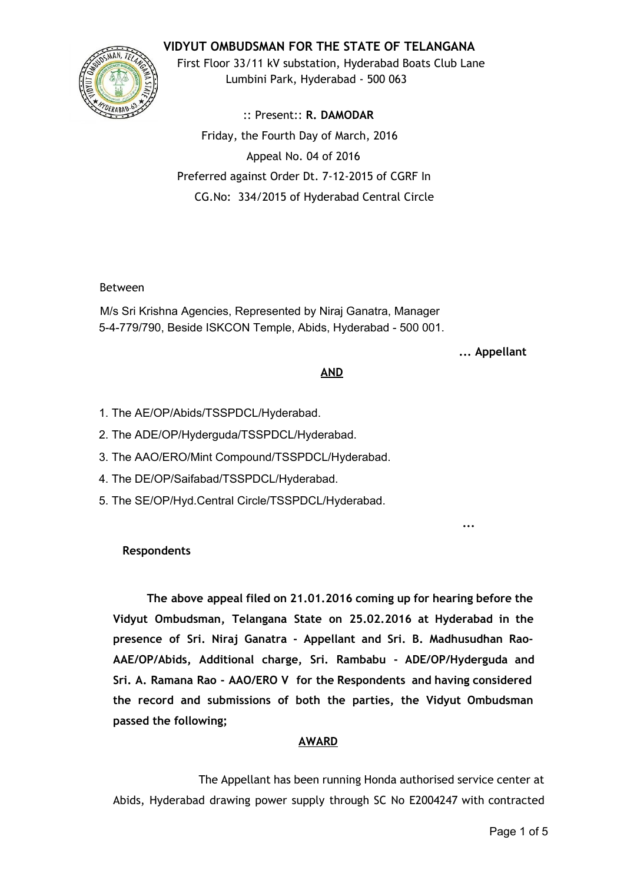# **VIDYUT OMBUDSMAN FOR THE STATE OF TELANGANA**



First Floor 33/11 kV substation, Hyderabad Boats Club Lane Lumbini Park, Hyderabad ‐ 500 063

:: Present:: **R. DAMODAR** Friday, the Fourth Day of March, 2016 Appeal No. 04 of 2016 Preferred against Order Dt. 7‐12‐2015 of CGRF In CG.No: 334/2015 of Hyderabad Central Circle

### Between

M/s Sri Krishna Agencies, Represented by Niraj Ganatra, Manager 5-4-779/790, Beside ISKCON Temple, Abids, Hyderabad - 500 001.

#### **... Appellant**

**...**

#### **AND**

- 1. The AE/OP/Abids/TSSPDCL/Hyderabad.
- 2. The ADE/OP/Hyderguda/TSSPDCL/Hyderabad.
- 3. The AAO/ERO/Mint Compound/TSSPDCL/Hyderabad.
- 4. The DE/OP/Saifabad/TSSPDCL/Hyderabad.
- 5. The SE/OP/Hyd.Central Circle/TSSPDCL/Hyderabad.

### **Respondents**

**The above appeal filed on 21.01.2016 coming up for hearing before the Vidyut Ombudsman, Telangana State on 25.02.2016 at Hyderabad in the presence of Sri. Niraj Ganatra ‐ Appellant and Sri. B. Madhusudhan Rao‐ AAE/OP/Abids, Additional charge, Sri. Rambabu ‐ ADE/OP/Hyderguda and Sri. A. Ramana Rao ‐ AAO/ERO V for the Respondents and having considered the record and submissions of both the parties, the Vidyut Ombudsman passed the following;**

### **AWARD**

The Appellant has been running Honda authorised service center at Abids, Hyderabad drawing power supply through SC No E2004247 with contracted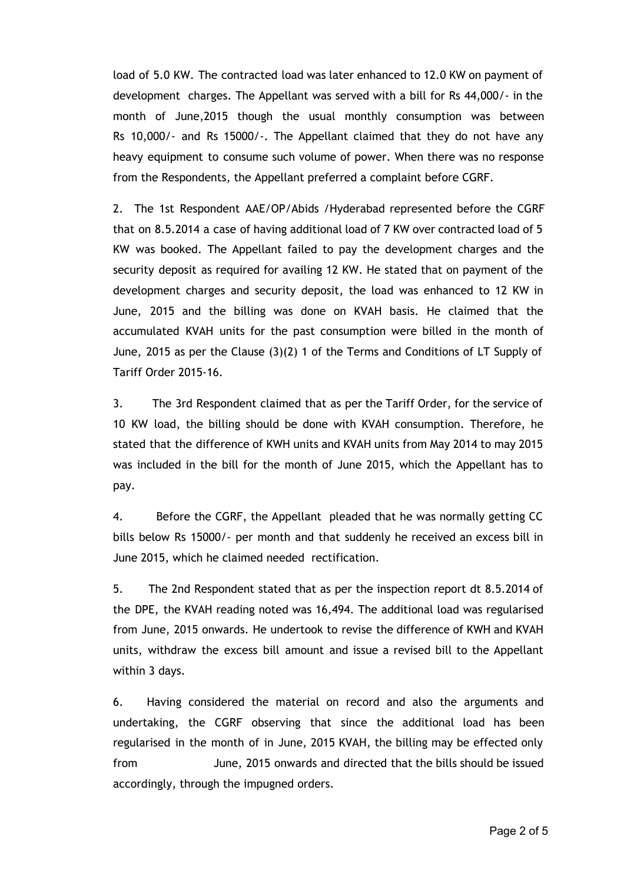load of 5.0 KW. The contracted load was later enhanced to 12.0 KW on payment of development charges. The Appellant was served with a bill for Rs 44,000/‐ in the month of June,2015 though the usual monthly consumption was between Rs 10,000/‐ and Rs 15000/‐. The Appellant claimed that they do not have any heavy equipment to consume such volume of power. When there was no response from the Respondents, the Appellant preferred a complaint before CGRF.

2. The 1st Respondent AAE/OP/Abids /Hyderabad represented before the CGRF that on 8.5.2014 a case of having additional load of 7 KW over contracted load of 5 KW was booked. The Appellant failed to pay the development charges and the security deposit as required for availing 12 KW. He stated that on payment of the development charges and security deposit, the load was enhanced to 12 KW in June, 2015 and the billing was done on KVAH basis. He claimed that the accumulated KVAH units for the past consumption were billed in the month of June, 2015 as per the Clause (3)(2) 1 of the Terms and Conditions of LT Supply of Tariff Order 2015‐16.

3. The 3rd Respondent claimed that as per the Tariff Order, for the service of 10 KW load, the billing should be done with KVAH consumption. Therefore, he stated that the difference of KWH units and KVAH units from May 2014 to may 2015 was included in the bill for the month of June 2015, which the Appellant has to pay.

4. Before the CGRF, the Appellant pleaded that he was normally getting CC bills below Rs 15000/‐ per month and that suddenly he received an excess bill in June 2015, which he claimed needed rectification.

5. The 2nd Respondent stated that as per the inspection report dt 8.5.2014 of the DPE, the KVAH reading noted was 16,494. The additional load was regularised from June, 2015 onwards. He undertook to revise the difference of KWH and KVAH units, withdraw the excess bill amount and issue a revised bill to the Appellant within 3 days.

6. Having considered the material on record and also the arguments and undertaking, the CGRF observing that since the additional load has been regularised in the month of in June, 2015 KVAH, the billing may be effected only from June, 2015 onwards and directed that the bills should be issued accordingly, through the impugned orders.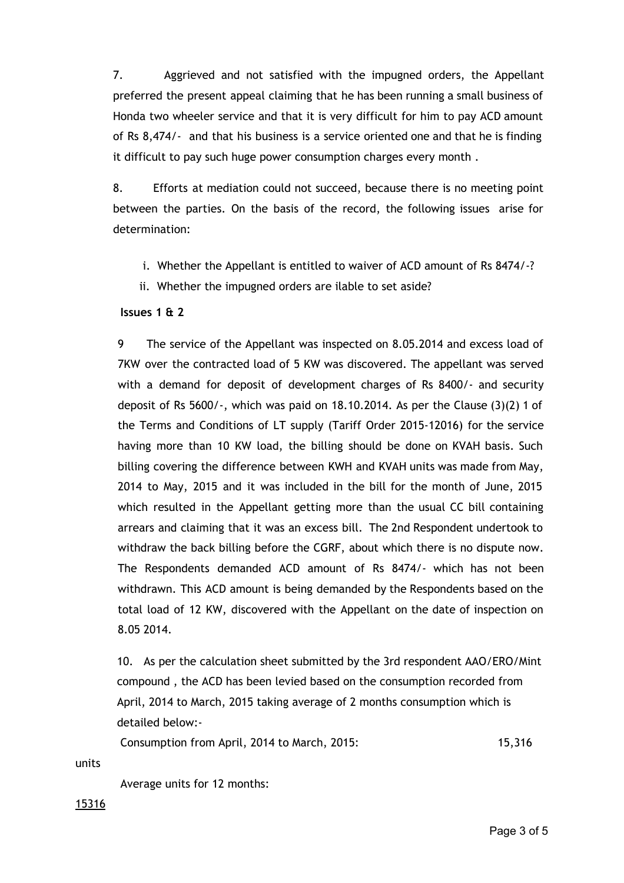7. Aggrieved and not satisfied with the impugned orders, the Appellant preferred the present appeal claiming that he has been running a small business of Honda two wheeler service and that it is very difficult for him to pay ACD amount of Rs 8,474/‐ and that his business is a service oriented one and that he is finding it difficult to pay such huge power consumption charges every month .

8. Efforts at mediation could not succeed, because there is no meeting point between the parties. On the basis of the record, the following issues arise for determination:

- i. Whether the Appellant is entitled to waiver of ACD amount of Rs 8474/‐?
- ii. Whether the impugned orders are ilable to set aside?

### **Issues 1 & 2**

9 The service of the Appellant was inspected on 8.05.2014 and excess load of 7KW over the contracted load of 5 KW was discovered. The appellant was served with a demand for deposit of development charges of Rs 8400/- and security deposit of Rs  $5600/$ -, which was paid on  $18.10.2014$ . As per the Clause  $(3)(2)$  1 of the Terms and Conditions of LT supply (Tariff Order 2015‐12016) for the service having more than 10 KW load, the billing should be done on KVAH basis. Such billing covering the difference between KWH and KVAH units was made from May, 2014 to May, 2015 and it was included in the bill for the month of June, 2015 which resulted in the Appellant getting more than the usual CC bill containing arrears and claiming that it was an excess bill. The 2nd Respondent undertook to withdraw the back billing before the CGRF, about which there is no dispute now. The Respondents demanded ACD amount of Rs 8474/‐ which has not been withdrawn. This ACD amount is being demanded by the Respondents based on the total load of 12 KW, discovered with the Appellant on the date of inspection on 8.05 2014.

10. As per the calculation sheet submitted by the 3rd respondent AAO/ERO/Mint compound , the ACD has been levied based on the consumption recorded from April, 2014 to March, 2015 taking average of 2 months consumption which is detailed below:‐

Consumption from April, 2014 to March, 2015: 15,316

units

Average units for 12 months:

15316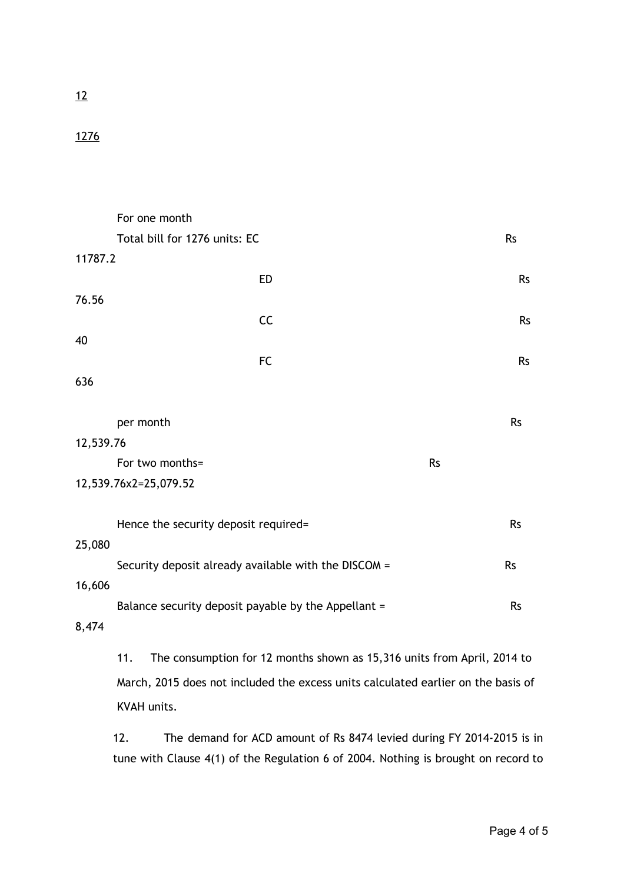# 12

# 1276

|                       | For one month                                        |           |           |
|-----------------------|------------------------------------------------------|-----------|-----------|
|                       | Total bill for 1276 units: EC                        |           | <b>Rs</b> |
| 11787.2               |                                                      |           |           |
|                       | <b>ED</b>                                            |           | <b>Rs</b> |
| 76.56                 |                                                      |           |           |
|                       | CC                                                   |           | <b>Rs</b> |
| 40                    |                                                      |           |           |
|                       | <b>FC</b>                                            |           | <b>Rs</b> |
| 636                   |                                                      |           |           |
|                       |                                                      |           |           |
|                       | per month                                            |           | <b>Rs</b> |
| 12,539.76             |                                                      |           |           |
|                       | For two months=                                      | <b>Rs</b> |           |
| 12,539.76x2=25,079.52 |                                                      |           |           |
|                       |                                                      |           |           |
|                       | Hence the security deposit required=                 |           | <b>Rs</b> |
| 25,080                |                                                      |           |           |
|                       | Security deposit already available with the DISCOM = |           | <b>Rs</b> |
| 16,606                |                                                      |           |           |
|                       | Balance security deposit payable by the Appellant =  |           | <b>Rs</b> |
| 8,474                 |                                                      |           |           |

11. The consumption for 12 months shown as 15,316 units from April, 2014 to March, 2015 does not included the excess units calculated earlier on the basis of KVAH units.

12. The demand for ACD amount of Rs 8474 levied during FY 2014‐2015 is in tune with Clause 4(1) of the Regulation 6 of 2004. Nothing is brought on record to